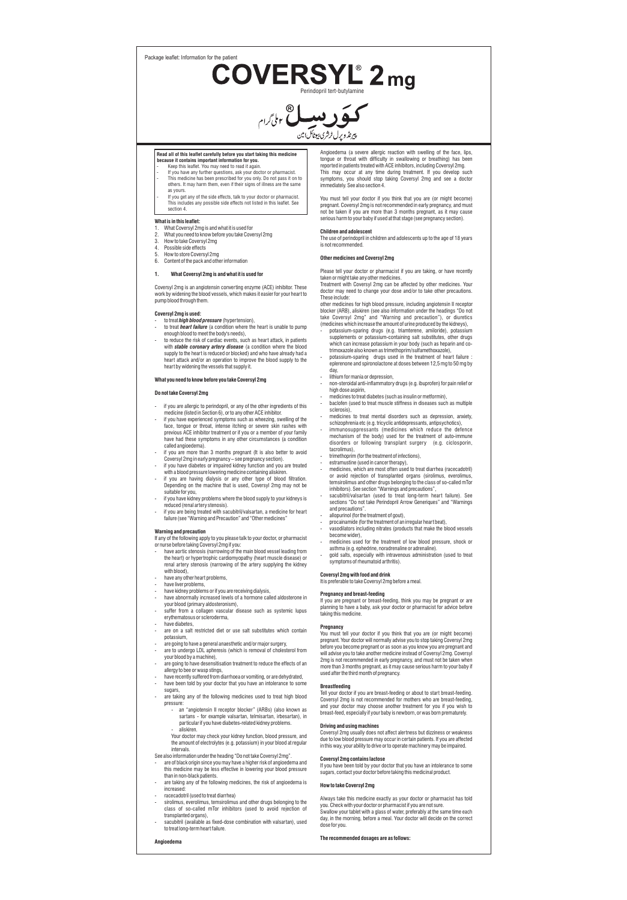Package leaflet: Information for the pati

 $\text{COVERSML}^{\circ}$  2 mg



#### **Read all of this leaflet carefully before you start taking this medicine because it contains important information for you.**

- Keep this leaflet. You may need to read it again. If you have any further questions, ask your doctor or pharmacist.
- This medicine has been prescribed for you only. Do not pass it on to others. It may harm them, even if their signs of illness are the same as vou
- If you get any of the side effects, talk to your doctor or pharmacist. ludes any possible side effects not listed in this leaflet. See section 4.

#### **What is in this leaflet:**

- 1. What Coversyl 2mg is and what it is used for
- 2. What you need to know before you take Coversyl 2mg
- 3. How to take Coversyl 2mg 4. Possible side effects
- 
- 5. How to store Coversyl 2mg 6. Content of the pack and other information

#### **1. What Coversyl 2mg is and what it is used for**

Coversyl 2mg is an angiotensin converting enzyme (ACE) inhibitor. These work by widening the blood vessels, which makes it easier for your heart to pump blood through them.

### **Coversyl 2mg is used:**

- to treat *high blood pressure* (hypertension), to treat *heart failure* (a condition where the heart is unable to pump
- enough blood to meet the body's needs), to reduce the risk of cardiac events, such as heart attack, in patients
- with *stable coronary artery disease* (a condition where the blood<br>supply to the heart is reduced or blocked) and who have already had a<br>heart attack and/or an operation to improve the blood supply to the<br>heart by widening

# **What you need to know before you take Coversyl 2mg**

## **Do not take Coversyl 2mg**

- 
- f you are allergic to perindopril, or any of the other ingredients of this<br>medicine (listed in Section 6), or to any other ACE inhibitor.<br>If you have experienced symptoms such as wheezing, swelling of the<br>face, tongue or t previous ACE inhibitor treatment or if you or a member of your family have had these symptoms in any other circumstances (a condition
- called angioeder if you are more than 3 months pregnant (It is also better to avoid
- Coversyl 2mg in early pregnancy see pregnancy section). if you have diabetes or impaired kidney function and you are treated
- with a blood pressure lowering medicine containing aliskiren.<br>- if you are having dialysis or any other type of blood filtration.<br>Depending on the machine that is used, Coversyl 2mg may not be<br>suitable for you,
- if you have kidney problems where the blood supply to your kidneys is reduced (renal artery stenosis). - if you are being treated with sacubitril/valsartan, a medicine for heart
- failure (see "Warning and Precaution" and "Other medicines"

- **Warning and precaution** If any of the following apply to you please talk to your doctor, or pharmacist
- or nurse before taking Coversyl 2mg if you:<br>- have aortic stenosis (narrowing of the main blood vessel leading from<br>- the heart) or hypertrophic cardiomyopathy (heart muscle disease) or<br>- the artery stenosis (narrowing of with blood) - have any other heart problems,
- 
- 
- have liver problems, have kidney problems or if you are receiving dialysis, have abnormally increased levels of a hormone called aldosterone in your blood (primary aldosteronism),
- suffer from a collagen vascular disease such as systemic lupus erythematosus or scleroderma, hatosus or scleroderma, have diabetes
- are on a salt restricted diet or use salt substitutes which contain
- potassium,<br>are going to have a general anaesthetic and/or maior surgery.
- 
- are going to have a general anaesthetic and/or major surgery,<br>- are to undergo LDL apheresis (which is removal of cholesterol from<br>- are going to have desensitisation treatment to reduce the effects of an<br>- are going to
- allergy to bee or wasp stings, have recently suffered from diarrhoea or vomiting, or are dehydrated. have been told by your doctor that you have an intolerance to some
- sugars, are taking any of the following medicines used to treat high blood
- pressure - an "angiotensin II receptor blocker" (ARBs) (also known as
	- sartans for example valsartan, telmisartan, irbesartan), in particular if you have diabetes-related kidney problems.

- aliskiren. Your doctor may check your kidney function, blood pressure, and the amount of electrolytes (e.g. potassium) in your blood at regular intervals.

- See also information under the heading "Do not take Coversyl 2mg". are of black origin since you may have a higher risk of angioedema and this medicine may be less effective in lowering your blood pressure
- 
- than in non-black patients. are taking any of the following medicines, the risk of angioedema is increased:
- racecadotril (used to treat diarrhea)

**Angioedema**

- sirolimus, everolimus, temsirolimus and other drugs belonging to the class of so-called mTor inhibitors (used to avoid rejection of transplanted organs), - sacubitril (available as fixed-dose combination with valsartan), used
- to treat long-term heart failure.
- 
- **The recommended dosages are as follows:**

Angioedema (a severe allergic reaction with swelling of the face, lips, tongue or throat with difficulty in swallowing or breathing) has been reported in patients treated with ACE inhibitors, including Coversyl 2mg. This may occur at any time during treatment. If you develop such symptoms, you should stop taking Coversyl 2mg and see a doctor symptoms, you should sup<br>immediately. See also section 4.

You must tell your doctor if you think that you are (or might become) pregnant. Coversyl 2mg is not recommended in early pregnancy, and must not be taken if you are more than 3 months pregnant, as it may cause serious harm to your baby if used at that stage (see pregnancy section).

**Children and adolescent** The use of perindopril in children and adolescents up to the age of 18 years is not recommended.

### **Other medicines and Coversyl 2mg**

Please tell your doctor or pharmacist if you are taking, or have recently taken or might take any other medicines. Treatment with Coversyl 2mg can be affected by other medicines. Your doctor may need to change your dose and/or to take other precautions.

These include: other medicines for high blood pressure, including angiotensin II receptor blocker (ARB), aliskiren (see also information under the headings "Do not

take Coversyl 2mg" and "Warning and precaution"), or diuretics (medicines which increase the amount of urine produced by the kidneys), - potassium-sparing drugs (e.g. triamterene, amiloride), potassium supplements or potassium-containing salt substitutes, other drugs

- which can increase potassium in your body (such as heparin and cotrimoxazole also known as trimethoprim/sulfamethoxazole), - potassium-sparing drugs used in the treatment of heart failure :
- eplerenone and spironolactone at doses between 12,5 mg to 50 mg by day, - lithium for mania or depression,
- non-steroidal anti-inflammatory drugs (e.g. ibuprofen) for pain relief or
- high dose aspirin, medicines to treat diabetes (such as insulin or metformin),
- baclofen (used to treat muscle stiffness in diseases such as multiple sclerosis),
- 
- medicines to treat mental disorders such as depression, anxiety, schizophrenia etc (e.g. tricyclic antidepressants, antipsychotics), immunosuppressants (medicines which reduce the defence mechanism of the body) used for the treatment of auto-immune disorders or following transplant surgery (e.g. ciclosporin, tacrolimus), - trimethoprim (for the treatment of infections),
- 
- estramustine (used in cancer therapy), medicines, which are most often used to treat diarrhea (racecadotril) or avoid rejection of transplanted organs (sirolimus, everolimus,<br>temsirolimus and other drugs belonging to the class of so-called mTor<br>inihibtors). See section "Warnings and precautions",<br>- sacubitril/valsartan (used to t
- sections "Do not take Perindopril Arrow Generiques" and "Warnings and precautions".
- 
- allopurinol (for the treatment of gout), procainamide (for the treatment of an irregular heart beat), vasodilators including nitrates (products that make the blood vessels become wider),
- medicines used for the treatment of low blood pressure, shock or
- asthma (e.g. ephedrine, noradrenaline or adrenaline). gold salts, especially with intravenous administration (used to treat symptoms of rheumatoid arthritis).

# **Coversyl 2mg with food and drink**

It is preferable to take Coversyl 2mg before a meal.

**Pregnancy and breast-feeding** If you are pregnant or breast-feeding, think you may be pregnant or are nning to have a baby, ask your doctor or pharmacist for advice before taking this medicine

### **Pregnancy**

You must tell your doctor if you think that you are (or might become) pregnant. Your doctor will normally advise you to stop taking Coversyl 2mg before you become pregnant or as soon as you know you are pregnant and will advise you to take another medicine instead of Coversyl 2mg. Coversyl 2mg is not recommended in early pregnancy, and must not be taken when more than 3 months pregnant, as it may cause serious harm to your baby if used after the third month of pregnancy.

**Breastfeeding** Tell your doctor if you are breast-feeding or about to start breast-feeding. Coversyl 2mg is not recommended for mothers who are breast-feeding, and your doctor may choose another treatment for you if you wish to breast-feed, especially if your baby is newborn, or was born prematurely.

## **Driving and using machines**

Coversyl 2mg usually does not affect alertness but dizziness or weakness due to low blood pressure may occur in certain patients. If you are affected in this way, your ability to drive or to operate machinery may be impaired.

# **Coversyl 2mg contains lactose**

If you have been told by your doctor that you have an intolerance to some sugars, contact your doctor before taking this medicinal product.

### **How to take Coversyl 2mg**

Always take this medicine exactly as your doctor or pharmacist has told you. Check with your doctor or pharmacist if you are not sure. Swallow your tablet with a glass of water, preferably at the same time each day, in the morning, before a meal. Your doctor will decide on the correct dose for you.